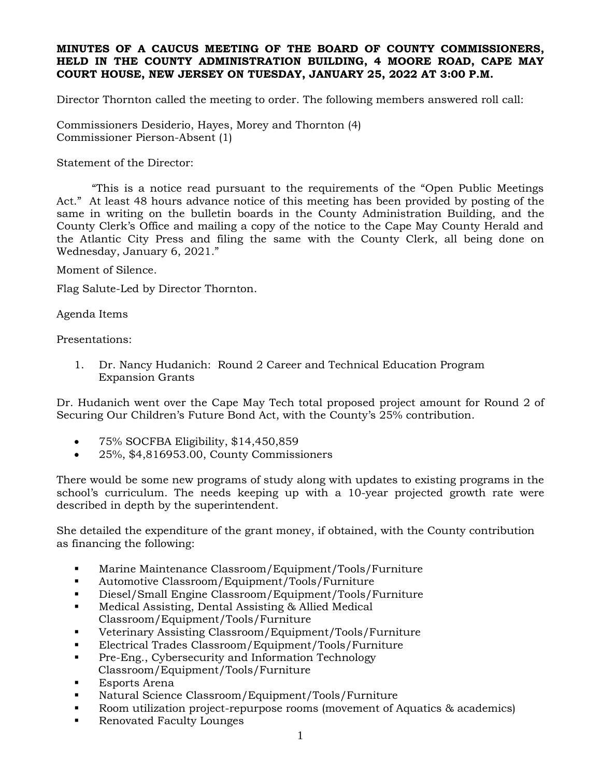#### **MINUTES OF A CAUCUS MEETING OF THE BOARD OF COUNTY COMMISSIONERS, HELD IN THE COUNTY ADMINISTRATION BUILDING, 4 MOORE ROAD, CAPE MAY COURT HOUSE, NEW JERSEY ON TUESDAY, JANUARY 25, 2022 AT 3:00 P.M.**

Director Thornton called the meeting to order. The following members answered roll call:

Commissioners Desiderio, Hayes, Morey and Thornton (4) Commissioner Pierson-Absent (1)

Statement of the Director:

"This is a notice read pursuant to the requirements of the "Open Public Meetings Act." At least 48 hours advance notice of this meeting has been provided by posting of the same in writing on the bulletin boards in the County Administration Building, and the County Clerk's Office and mailing a copy of the notice to the Cape May County Herald and the Atlantic City Press and filing the same with the County Clerk, all being done on Wednesday, January 6, 2021."

Moment of Silence.

Flag Salute-Led by Director Thornton.

Agenda Items

#### Presentations:

1. Dr. Nancy Hudanich: Round 2 Career and Technical Education Program Expansion Grants

Dr. Hudanich went over the Cape May Tech total proposed project amount for Round 2 of Securing Our Children's Future Bond Act, with the County's 25% contribution.

- 75% SOCFBA Eligibility, \$14,450,859
- 25%, \$4,816953.00, County Commissioners

There would be some new programs of study along with updates to existing programs in the school's curriculum. The needs keeping up with a 10-year projected growth rate were described in depth by the superintendent.

She detailed the expenditure of the grant money, if obtained, with the County contribution as financing the following:

- Marine Maintenance Classroom/Equipment/Tools/Furniture
- Automotive Classroom/Equipment/Tools/Furniture
- Diesel/Small Engine Classroom/Equipment/Tools/Furniture
- Medical Assisting, Dental Assisting & Allied Medical Classroom/Equipment/Tools/Furniture
- Veterinary Assisting Classroom/Equipment/Tools/Furniture
- Electrical Trades Classroom/Equipment/Tools/Furniture
- Pre-Eng., Cybersecurity and Information Technology Classroom/Equipment/Tools/Furniture
- Esports Arena
- Natural Science Classroom/Equipment/Tools/Furniture
- Room utilization project-repurpose rooms (movement of Aquatics & academics)
- Renovated Faculty Lounges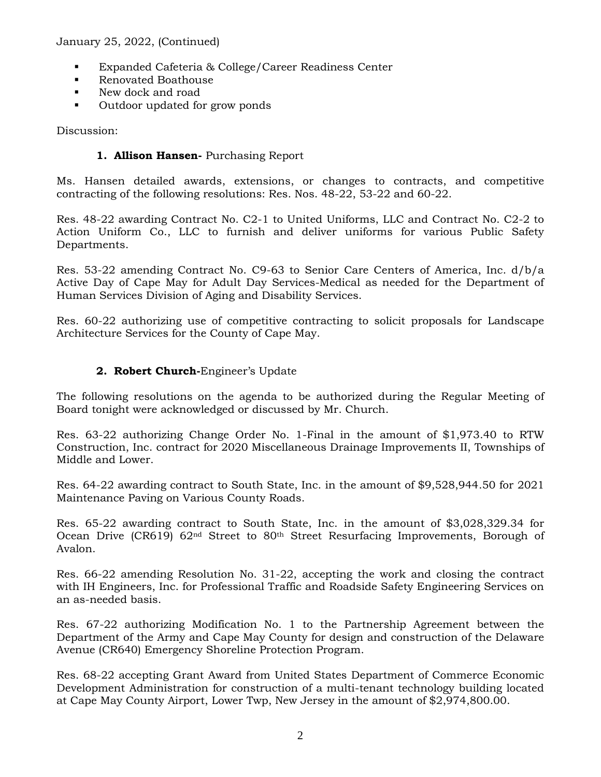- Expanded Cafeteria & College/Career Readiness Center
- Renovated Boathouse
- New dock and road
- Outdoor updated for grow ponds

Discussion:

## **1. Allison Hansen-** Purchasing Report

Ms. Hansen detailed awards, extensions, or changes to contracts, and competitive contracting of the following resolutions: Res. Nos. 48-22, 53-22 and 60-22.

Res. 48-22 awarding Contract No. C2-1 to United Uniforms, LLC and Contract No. C2-2 to Action Uniform Co., LLC to furnish and deliver uniforms for various Public Safety Departments.

Res. 53-22 amending Contract No. C9-63 to Senior Care Centers of America, Inc. d/b/a Active Day of Cape May for Adult Day Services-Medical as needed for the Department of Human Services Division of Aging and Disability Services.

Res. 60-22 authorizing use of competitive contracting to solicit proposals for Landscape Architecture Services for the County of Cape May.

# **2. Robert Church-**Engineer's Update

The following resolutions on the agenda to be authorized during the Regular Meeting of Board tonight were acknowledged or discussed by Mr. Church.

Res. 63-22 authorizing Change Order No. 1-Final in the amount of \$1,973.40 to RTW Construction, Inc. contract for 2020 Miscellaneous Drainage Improvements II, Townships of Middle and Lower.

Res. 64-22 awarding contract to South State, Inc. in the amount of \$9,528,944.50 for 2021 Maintenance Paving on Various County Roads.

Res. 65-22 awarding contract to South State, Inc. in the amount of \$3,028,329.34 for Ocean Drive (CR619)  $62<sup>nd</sup>$  Street to  $80<sup>th</sup>$  Street Resurfacing Improvements, Borough of Avalon.

Res. 66-22 amending Resolution No. 31-22, accepting the work and closing the contract with IH Engineers, Inc. for Professional Traffic and Roadside Safety Engineering Services on an as-needed basis.

Res. 67-22 authorizing Modification No. 1 to the Partnership Agreement between the Department of the Army and Cape May County for design and construction of the Delaware Avenue (CR640) Emergency Shoreline Protection Program.

Res. 68-22 accepting Grant Award from United States Department of Commerce Economic Development Administration for construction of a multi-tenant technology building located at Cape May County Airport, Lower Twp, New Jersey in the amount of \$2,974,800.00.